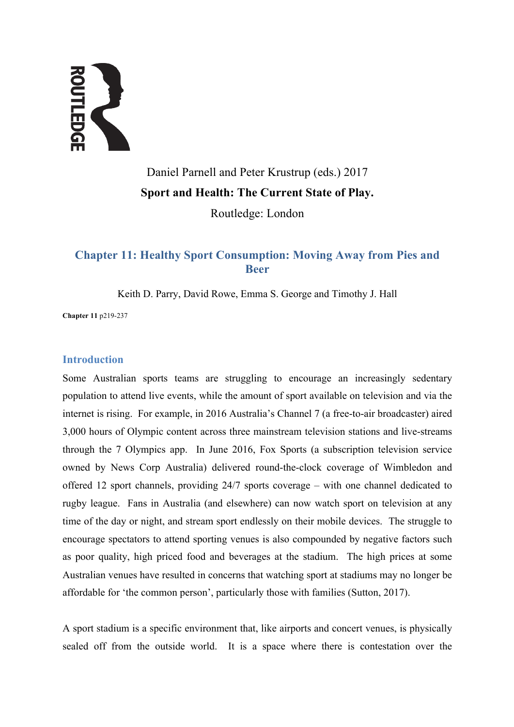# **AND READER**

# Daniel Parnell and Peter Krustrup (eds.) 2017 **Sport and Health: The Current State of Play.**

Routledge: London

## **Chapter 11: Healthy Sport Consumption: Moving Away from Pies and Beer**

Keith D. Parry, David Rowe, Emma S. George and Timothy J. Hall

**Chapter 11** p219-237

### **Introduction**

Some Australian sports teams are struggling to encourage an increasingly sedentary population to attend live events, while the amount of sport available on television and via the internet is rising. For example, in 2016 Australia's Channel 7 (a free-to-air broadcaster) aired 3,000 hours of Olympic content across three mainstream television stations and live-streams through the 7 Olympics app. In June 2016, Fox Sports (a subscription television service owned by News Corp Australia) delivered round-the-clock coverage of Wimbledon and offered 12 sport channels, providing 24/7 sports coverage – with one channel dedicated to rugby league. Fans in Australia (and elsewhere) can now watch sport on television at any time of the day or night, and stream sport endlessly on their mobile devices. The struggle to encourage spectators to attend sporting venues is also compounded by negative factors such as poor quality, high priced food and beverages at the stadium. The high prices at some Australian venues have resulted in concerns that watching sport at stadiums may no longer be affordable for 'the common person', particularly those with families (Sutton, 2017).

A sport stadium is a specific environment that, like airports and concert venues, is physically sealed off from the outside world. It is a space where there is contestation over the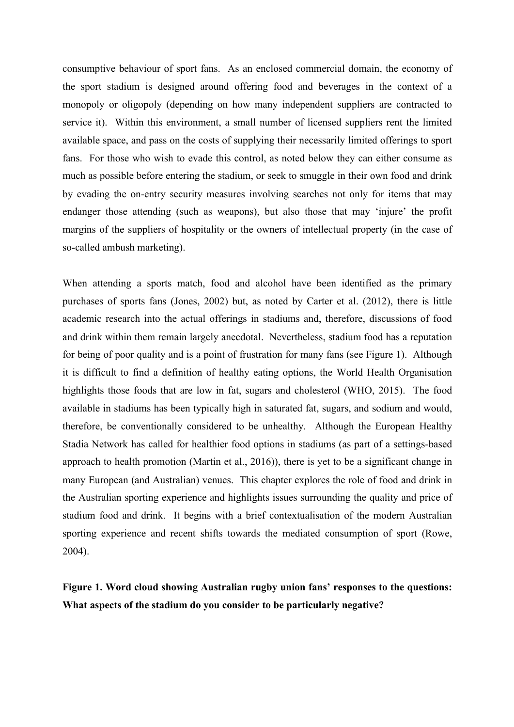consumptive behaviour of sport fans. As an enclosed commercial domain, the economy of the sport stadium is designed around offering food and beverages in the context of a monopoly or oligopoly (depending on how many independent suppliers are contracted to service it). Within this environment, a small number of licensed suppliers rent the limited available space, and pass on the costs of supplying their necessarily limited offerings to sport fans. For those who wish to evade this control, as noted below they can either consume as much as possible before entering the stadium, or seek to smuggle in their own food and drink by evading the on-entry security measures involving searches not only for items that may endanger those attending (such as weapons), but also those that may 'injure' the profit margins of the suppliers of hospitality or the owners of intellectual property (in the case of so-called ambush marketing).

When attending a sports match, food and alcohol have been identified as the primary purchases of sports fans (Jones, 2002) but, as noted by Carter et al. (2012), there is little academic research into the actual offerings in stadiums and, therefore, discussions of food and drink within them remain largely anecdotal. Nevertheless, stadium food has a reputation for being of poor quality and is a point of frustration for many fans (see Figure 1). Although it is difficult to find a definition of healthy eating options, the World Health Organisation highlights those foods that are low in fat, sugars and cholesterol (WHO, 2015). The food available in stadiums has been typically high in saturated fat, sugars, and sodium and would, therefore, be conventionally considered to be unhealthy. Although the European Healthy Stadia Network has called for healthier food options in stadiums (as part of a settings-based approach to health promotion (Martin et al., 2016)), there is yet to be a significant change in many European (and Australian) venues. This chapter explores the role of food and drink in the Australian sporting experience and highlights issues surrounding the quality and price of stadium food and drink. It begins with a brief contextualisation of the modern Australian sporting experience and recent shifts towards the mediated consumption of sport (Rowe, 2004).

**Figure 1. Word cloud showing Australian rugby union fans' responses to the questions: What aspects of the stadium do you consider to be particularly negative?**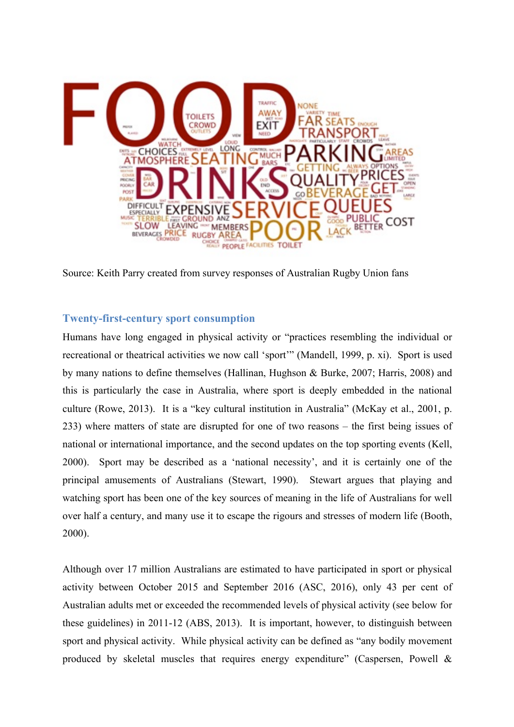

Source: Keith Parry created from survey responses of Australian Rugby Union fans

### **Twenty-first-century sport consumption**

Humans have long engaged in physical activity or "practices resembling the individual or recreational or theatrical activities we now call 'sport'" (Mandell, 1999, p. xi). Sport is used by many nations to define themselves (Hallinan, Hughson & Burke, 2007; Harris, 2008) and this is particularly the case in Australia, where sport is deeply embedded in the national culture (Rowe, 2013). It is a "key cultural institution in Australia" (McKay et al., 2001, p. 233) where matters of state are disrupted for one of two reasons – the first being issues of national or international importance, and the second updates on the top sporting events (Kell, 2000). Sport may be described as a 'national necessity', and it is certainly one of the principal amusements of Australians (Stewart, 1990). Stewart argues that playing and watching sport has been one of the key sources of meaning in the life of Australians for well over half a century, and many use it to escape the rigours and stresses of modern life (Booth, 2000).

Although over 17 million Australians are estimated to have participated in sport or physical activity between October 2015 and September 2016 (ASC, 2016), only 43 per cent of Australian adults met or exceeded the recommended levels of physical activity (see below for these guidelines) in 2011-12 (ABS, 2013). It is important, however, to distinguish between sport and physical activity. While physical activity can be defined as "any bodily movement produced by skeletal muscles that requires energy expenditure" (Caspersen, Powell &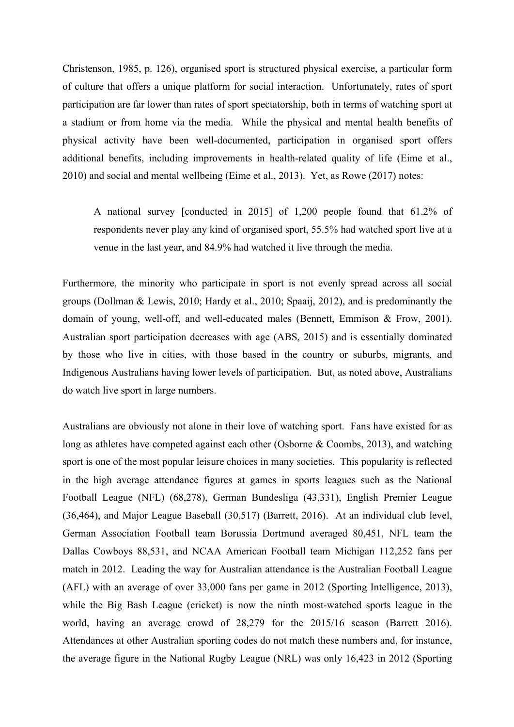Christenson, 1985, p. 126), organised sport is structured physical exercise, a particular form of culture that offers a unique platform for social interaction. Unfortunately, rates of sport participation are far lower than rates of sport spectatorship, both in terms of watching sport at a stadium or from home via the media. While the physical and mental health benefits of physical activity have been well-documented, participation in organised sport offers additional benefits, including improvements in health-related quality of life (Eime et al., 2010) and social and mental wellbeing (Eime et al., 2013). Yet, as Rowe (2017) notes:

A national survey [conducted in 2015] of 1,200 people found that 61.2% of respondents never play any kind of organised sport, 55.5% had watched sport live at a venue in the last year, and 84.9% had watched it live through the media.

Furthermore, the minority who participate in sport is not evenly spread across all social groups (Dollman & Lewis, 2010; Hardy et al., 2010; Spaaij, 2012), and is predominantly the domain of young, well-off, and well-educated males (Bennett, Emmison & Frow, 2001). Australian sport participation decreases with age (ABS, 2015) and is essentially dominated by those who live in cities, with those based in the country or suburbs, migrants, and Indigenous Australians having lower levels of participation. But, as noted above, Australians do watch live sport in large numbers.

Australians are obviously not alone in their love of watching sport. Fans have existed for as long as athletes have competed against each other (Osborne & Coombs, 2013), and watching sport is one of the most popular leisure choices in many societies. This popularity is reflected in the high average attendance figures at games in sports leagues such as the National Football League (NFL) (68,278), German Bundesliga (43,331), English Premier League (36,464), and Major League Baseball (30,517) (Barrett, 2016). At an individual club level, German Association Football team Borussia Dortmund averaged 80,451, NFL team the Dallas Cowboys 88,531, and NCAA American Football team Michigan 112,252 fans per match in 2012. Leading the way for Australian attendance is the Australian Football League (AFL) with an average of over 33,000 fans per game in 2012 (Sporting Intelligence, 2013), while the Big Bash League (cricket) is now the ninth most-watched sports league in the world, having an average crowd of 28,279 for the 2015/16 season (Barrett 2016). Attendances at other Australian sporting codes do not match these numbers and, for instance, the average figure in the National Rugby League (NRL) was only 16,423 in 2012 (Sporting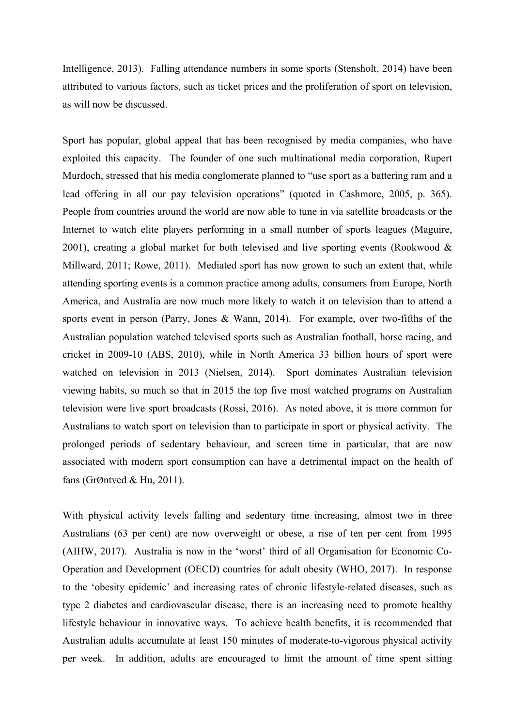Intelligence, 2013). Falling attendance numbers in some sports (Stensholt, 2014) have been attributed to various factors, such as ticket prices and the proliferation of sport on television, as will now be discussed.

Sport has popular, global appeal that has been recognised by media companies, who have exploited this capacity. The founder of one such multinational media corporation, Rupert Murdoch, stressed that his media conglomerate planned to "use sport as a battering ram and a lead offering in all our pay television operations" (quoted in Cashmore, 2005, p. 365). People from countries around the world are now able to tune in via satellite broadcasts or the Internet to watch elite players performing in a small number of sports leagues (Maguire, 2001), creating a global market for both televised and live sporting events (Rookwood  $\&$ Millward, 2011; Rowe, 2011). Mediated sport has now grown to such an extent that, while attending sporting events is a common practice among adults, consumers from Europe, North America, and Australia are now much more likely to watch it on television than to attend a sports event in person (Parry, Jones & Wann, 2014). For example, over two-fifths of the Australian population watched televised sports such as Australian football, horse racing, and cricket in 2009-10 (ABS, 2010), while in North America 33 billion hours of sport were watched on television in 2013 (Nielsen, 2014). Sport dominates Australian television viewing habits, so much so that in 2015 the top five most watched programs on Australian television were live sport broadcasts (Rossi, 2016). As noted above, it is more common for Australians to watch sport on television than to participate in sport or physical activity. The prolonged periods of sedentary behaviour, and screen time in particular, that are now associated with modern sport consumption can have a detrimental impact on the health of fans (GrØntved & Hu, 2011).

With physical activity levels falling and sedentary time increasing, almost two in three Australians (63 per cent) are now overweight or obese, a rise of ten per cent from 1995 (AIHW, 2017). Australia is now in the 'worst' third of all Organisation for Economic Co-Operation and Development (OECD) countries for adult obesity (WHO, 2017). In response to the 'obesity epidemic' and increasing rates of chronic lifestyle-related diseases, such as type 2 diabetes and cardiovascular disease, there is an increasing need to promote healthy lifestyle behaviour in innovative ways. To achieve health benefits, it is recommended that Australian adults accumulate at least 150 minutes of moderate-to-vigorous physical activity per week. In addition, adults are encouraged to limit the amount of time spent sitting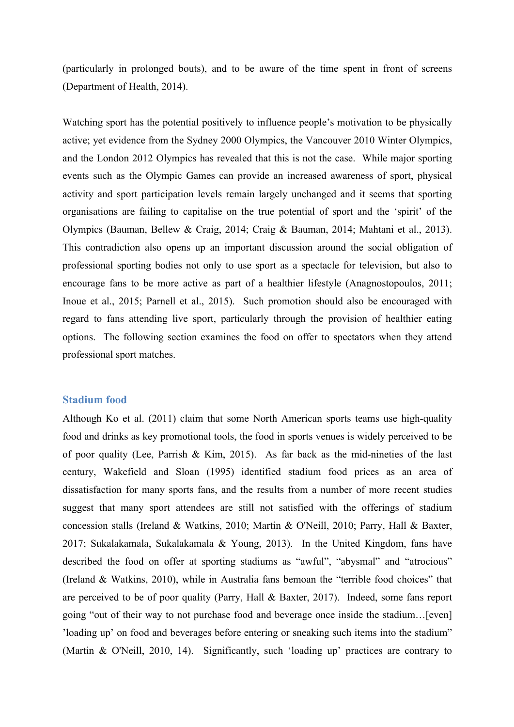(particularly in prolonged bouts), and to be aware of the time spent in front of screens (Department of Health, 2014).

Watching sport has the potential positively to influence people's motivation to be physically active; yet evidence from the Sydney 2000 Olympics, the Vancouver 2010 Winter Olympics, and the London 2012 Olympics has revealed that this is not the case. While major sporting events such as the Olympic Games can provide an increased awareness of sport, physical activity and sport participation levels remain largely unchanged and it seems that sporting organisations are failing to capitalise on the true potential of sport and the 'spirit' of the Olympics (Bauman, Bellew & Craig, 2014; Craig & Bauman, 2014; Mahtani et al., 2013). This contradiction also opens up an important discussion around the social obligation of professional sporting bodies not only to use sport as a spectacle for television, but also to encourage fans to be more active as part of a healthier lifestyle (Anagnostopoulos, 2011; Inoue et al., 2015; Parnell et al., 2015). Such promotion should also be encouraged with regard to fans attending live sport, particularly through the provision of healthier eating options. The following section examines the food on offer to spectators when they attend professional sport matches.

### **Stadium food**

Although Ko et al. (2011) claim that some North American sports teams use high-quality food and drinks as key promotional tools, the food in sports venues is widely perceived to be of poor quality (Lee, Parrish & Kim, 2015). As far back as the mid-nineties of the last century, Wakefield and Sloan (1995) identified stadium food prices as an area of dissatisfaction for many sports fans, and the results from a number of more recent studies suggest that many sport attendees are still not satisfied with the offerings of stadium concession stalls (Ireland & Watkins, 2010; Martin & O'Neill, 2010; Parry, Hall & Baxter, 2017; Sukalakamala, Sukalakamala & Young, 2013). In the United Kingdom, fans have described the food on offer at sporting stadiums as "awful", "abysmal" and "atrocious" (Ireland & Watkins, 2010), while in Australia fans bemoan the "terrible food choices" that are perceived to be of poor quality (Parry, Hall & Baxter, 2017). Indeed, some fans report going "out of their way to not purchase food and beverage once inside the stadium…[even] 'loading up' on food and beverages before entering or sneaking such items into the stadium" (Martin & O'Neill, 2010, 14). Significantly, such 'loading up' practices are contrary to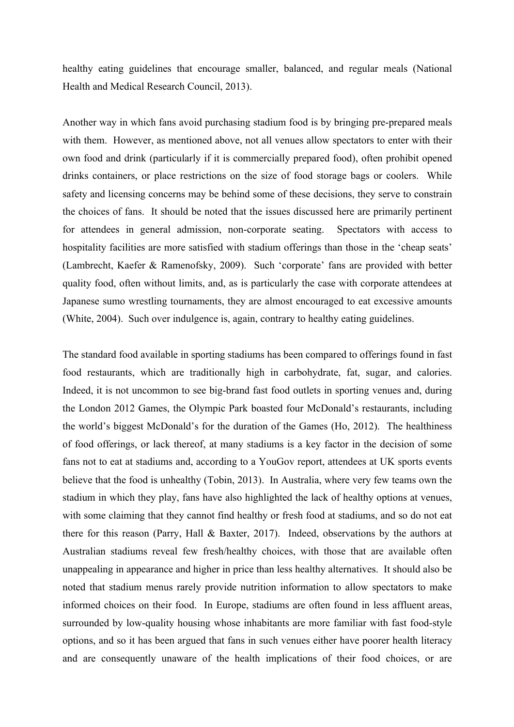healthy eating guidelines that encourage smaller, balanced, and regular meals (National Health and Medical Research Council, 2013).

Another way in which fans avoid purchasing stadium food is by bringing pre-prepared meals with them. However, as mentioned above, not all venues allow spectators to enter with their own food and drink (particularly if it is commercially prepared food), often prohibit opened drinks containers, or place restrictions on the size of food storage bags or coolers. While safety and licensing concerns may be behind some of these decisions, they serve to constrain the choices of fans. It should be noted that the issues discussed here are primarily pertinent for attendees in general admission, non-corporate seating. Spectators with access to hospitality facilities are more satisfied with stadium offerings than those in the 'cheap seats' (Lambrecht, Kaefer & Ramenofsky, 2009). Such 'corporate' fans are provided with better quality food, often without limits, and, as is particularly the case with corporate attendees at Japanese sumo wrestling tournaments, they are almost encouraged to eat excessive amounts (White, 2004). Such over indulgence is, again, contrary to healthy eating guidelines.

The standard food available in sporting stadiums has been compared to offerings found in fast food restaurants, which are traditionally high in carbohydrate, fat, sugar, and calories. Indeed, it is not uncommon to see big-brand fast food outlets in sporting venues and, during the London 2012 Games, the Olympic Park boasted four McDonald's restaurants, including the world's biggest McDonald's for the duration of the Games (Ho, 2012). The healthiness of food offerings, or lack thereof, at many stadiums is a key factor in the decision of some fans not to eat at stadiums and, according to a YouGov report, attendees at UK sports events believe that the food is unhealthy (Tobin, 2013). In Australia, where very few teams own the stadium in which they play, fans have also highlighted the lack of healthy options at venues, with some claiming that they cannot find healthy or fresh food at stadiums, and so do not eat there for this reason (Parry, Hall & Baxter, 2017). Indeed, observations by the authors at Australian stadiums reveal few fresh/healthy choices, with those that are available often unappealing in appearance and higher in price than less healthy alternatives. It should also be noted that stadium menus rarely provide nutrition information to allow spectators to make informed choices on their food. In Europe, stadiums are often found in less affluent areas, surrounded by low-quality housing whose inhabitants are more familiar with fast food-style options, and so it has been argued that fans in such venues either have poorer health literacy and are consequently unaware of the health implications of their food choices, or are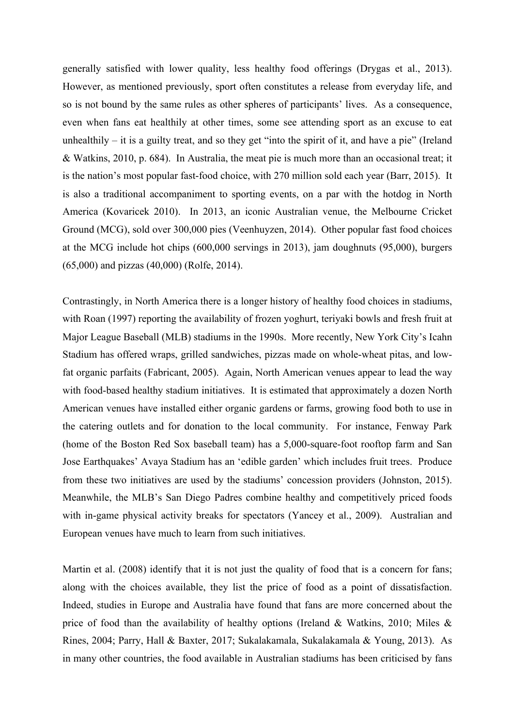generally satisfied with lower quality, less healthy food offerings (Drygas et al., 2013). However, as mentioned previously, sport often constitutes a release from everyday life, and so is not bound by the same rules as other spheres of participants' lives. As a consequence, even when fans eat healthily at other times, some see attending sport as an excuse to eat unhealthily  $-$  it is a guilty treat, and so they get "into the spirit of it, and have a pie" (Ireland & Watkins, 2010, p. 684). In Australia, the meat pie is much more than an occasional treat; it is the nation's most popular fast-food choice, with 270 million sold each year (Barr, 2015). It is also a traditional accompaniment to sporting events, on a par with the hotdog in North America (Kovaricek 2010). In 2013, an iconic Australian venue, the Melbourne Cricket Ground (MCG), sold over 300,000 pies (Veenhuyzen, 2014). Other popular fast food choices at the MCG include hot chips (600,000 servings in 2013), jam doughnuts (95,000), burgers (65,000) and pizzas (40,000) (Rolfe, 2014).

Contrastingly, in North America there is a longer history of healthy food choices in stadiums, with Roan (1997) reporting the availability of frozen yoghurt, teriyaki bowls and fresh fruit at Major League Baseball (MLB) stadiums in the 1990s. More recently, New York City's Icahn Stadium has offered wraps, grilled sandwiches, pizzas made on whole-wheat pitas, and lowfat organic parfaits (Fabricant, 2005). Again, North American venues appear to lead the way with food-based healthy stadium initiatives. It is estimated that approximately a dozen North American venues have installed either organic gardens or farms, growing food both to use in the catering outlets and for donation to the local community. For instance, Fenway Park (home of the Boston Red Sox baseball team) has a 5,000-square-foot rooftop farm and San Jose Earthquakes' Avaya Stadium has an 'edible garden' which includes fruit trees. Produce from these two initiatives are used by the stadiums' concession providers (Johnston, 2015). Meanwhile, the MLB's San Diego Padres combine healthy and competitively priced foods with in-game physical activity breaks for spectators (Yancey et al., 2009). Australian and European venues have much to learn from such initiatives.

Martin et al. (2008) identify that it is not just the quality of food that is a concern for fans; along with the choices available, they list the price of food as a point of dissatisfaction. Indeed, studies in Europe and Australia have found that fans are more concerned about the price of food than the availability of healthy options (Ireland & Watkins, 2010; Miles & Rines, 2004; Parry, Hall & Baxter, 2017; Sukalakamala, Sukalakamala & Young, 2013). As in many other countries, the food available in Australian stadiums has been criticised by fans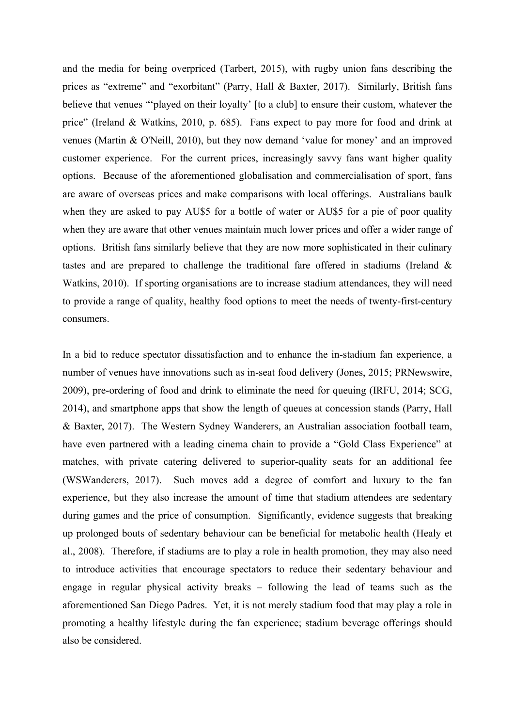and the media for being overpriced (Tarbert, 2015), with rugby union fans describing the prices as "extreme" and "exorbitant" (Parry, Hall & Baxter, 2017). Similarly, British fans believe that venues "'played on their loyalty' [to a club] to ensure their custom, whatever the price" (Ireland & Watkins, 2010, p. 685). Fans expect to pay more for food and drink at venues (Martin & O'Neill, 2010), but they now demand 'value for money' and an improved customer experience. For the current prices, increasingly savvy fans want higher quality options. Because of the aforementioned globalisation and commercialisation of sport, fans are aware of overseas prices and make comparisons with local offerings. Australians baulk when they are asked to pay AU\$5 for a bottle of water or AU\$5 for a pie of poor quality when they are aware that other venues maintain much lower prices and offer a wider range of options. British fans similarly believe that they are now more sophisticated in their culinary tastes and are prepared to challenge the traditional fare offered in stadiums (Ireland & Watkins, 2010). If sporting organisations are to increase stadium attendances, they will need to provide a range of quality, healthy food options to meet the needs of twenty-first-century consumers.

In a bid to reduce spectator dissatisfaction and to enhance the in-stadium fan experience, a number of venues have innovations such as in-seat food delivery (Jones, 2015; PRNewswire, 2009), pre-ordering of food and drink to eliminate the need for queuing (IRFU, 2014; SCG, 2014), and smartphone apps that show the length of queues at concession stands (Parry, Hall & Baxter, 2017). The Western Sydney Wanderers, an Australian association football team, have even partnered with a leading cinema chain to provide a "Gold Class Experience" at matches, with private catering delivered to superior-quality seats for an additional fee (WSWanderers, 2017). Such moves add a degree of comfort and luxury to the fan experience, but they also increase the amount of time that stadium attendees are sedentary during games and the price of consumption. Significantly, evidence suggests that breaking up prolonged bouts of sedentary behaviour can be beneficial for metabolic health (Healy et al., 2008). Therefore, if stadiums are to play a role in health promotion, they may also need to introduce activities that encourage spectators to reduce their sedentary behaviour and engage in regular physical activity breaks – following the lead of teams such as the aforementioned San Diego Padres. Yet, it is not merely stadium food that may play a role in promoting a healthy lifestyle during the fan experience; stadium beverage offerings should also be considered.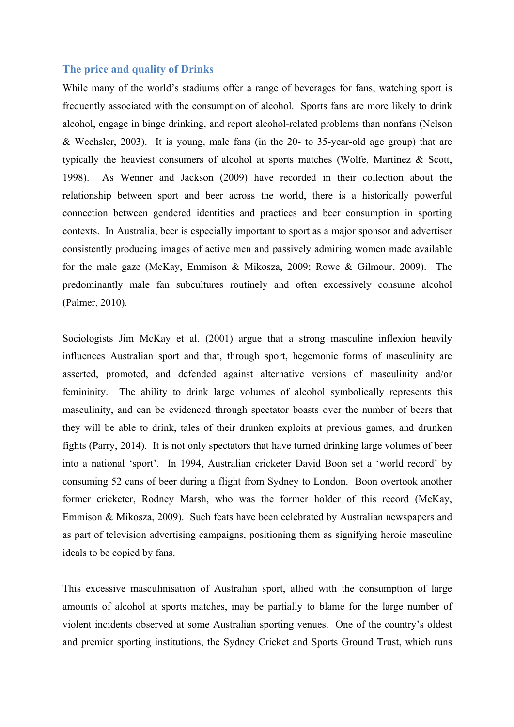### **The price and quality of Drinks**

While many of the world's stadiums offer a range of beverages for fans, watching sport is frequently associated with the consumption of alcohol. Sports fans are more likely to drink alcohol, engage in binge drinking, and report alcohol-related problems than nonfans (Nelson & Wechsler, 2003). It is young, male fans (in the 20- to 35-year-old age group) that are typically the heaviest consumers of alcohol at sports matches (Wolfe, Martinez & Scott, 1998). As Wenner and Jackson (2009) have recorded in their collection about the relationship between sport and beer across the world, there is a historically powerful connection between gendered identities and practices and beer consumption in sporting contexts. In Australia, beer is especially important to sport as a major sponsor and advertiser consistently producing images of active men and passively admiring women made available for the male gaze (McKay, Emmison & Mikosza, 2009; Rowe & Gilmour, 2009). The predominantly male fan subcultures routinely and often excessively consume alcohol (Palmer, 2010).

Sociologists Jim McKay et al. (2001) argue that a strong masculine inflexion heavily influences Australian sport and that, through sport, hegemonic forms of masculinity are asserted, promoted, and defended against alternative versions of masculinity and/or femininity. The ability to drink large volumes of alcohol symbolically represents this masculinity, and can be evidenced through spectator boasts over the number of beers that they will be able to drink, tales of their drunken exploits at previous games, and drunken fights (Parry, 2014). It is not only spectators that have turned drinking large volumes of beer into a national 'sport'. In 1994, Australian cricketer David Boon set a 'world record' by consuming 52 cans of beer during a flight from Sydney to London. Boon overtook another former cricketer, Rodney Marsh, who was the former holder of this record (McKay, Emmison & Mikosza, 2009). Such feats have been celebrated by Australian newspapers and as part of television advertising campaigns, positioning them as signifying heroic masculine ideals to be copied by fans.

This excessive masculinisation of Australian sport, allied with the consumption of large amounts of alcohol at sports matches, may be partially to blame for the large number of violent incidents observed at some Australian sporting venues. One of the country's oldest and premier sporting institutions, the Sydney Cricket and Sports Ground Trust, which runs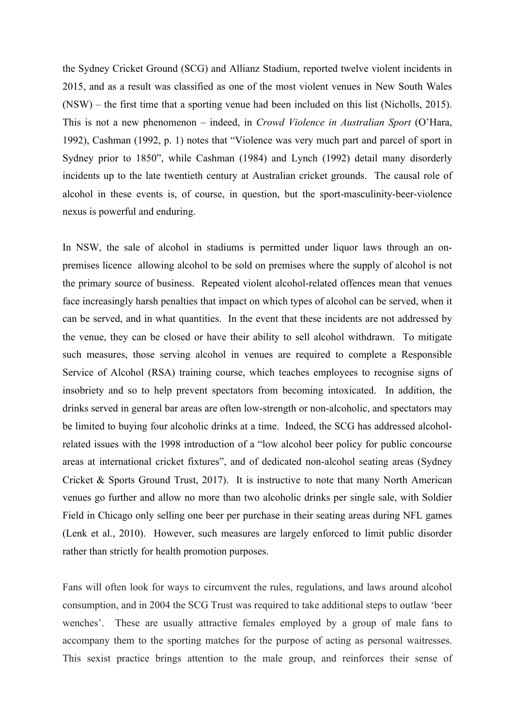the Sydney Cricket Ground (SCG) and Allianz Stadium, reported twelve violent incidents in 2015, and as a result was classified as one of the most violent venues in New South Wales (NSW) – the first time that a sporting venue had been included on this list (Nicholls, 2015). This is not a new phenomenon – indeed, in *Crowd Violence in Australian Sport* (O'Hara, 1992), Cashman (1992, p. 1) notes that "Violence was very much part and parcel of sport in Sydney prior to 1850", while Cashman (1984) and Lynch (1992) detail many disorderly incidents up to the late twentieth century at Australian cricket grounds. The causal role of alcohol in these events is, of course, in question, but the sport-masculinity-beer-violence nexus is powerful and enduring.

In NSW, the sale of alcohol in stadiums is permitted under liquor laws through an onpremises licence allowing alcohol to be sold on premises where the supply of alcohol is not the primary source of business. Repeated violent alcohol-related offences mean that venues face increasingly harsh penalties that impact on which types of alcohol can be served, when it can be served, and in what quantities. In the event that these incidents are not addressed by the venue, they can be closed or have their ability to sell alcohol withdrawn. To mitigate such measures, those serving alcohol in venues are required to complete a Responsible Service of Alcohol (RSA) training course, which teaches employees to recognise signs of insobriety and so to help prevent spectators from becoming intoxicated. In addition, the drinks served in general bar areas are often low-strength or non-alcoholic, and spectators may be limited to buying four alcoholic drinks at a time. Indeed, the SCG has addressed alcoholrelated issues with the 1998 introduction of a "low alcohol beer policy for public concourse areas at international cricket fixtures", and of dedicated non-alcohol seating areas (Sydney Cricket & Sports Ground Trust, 2017). It is instructive to note that many North American venues go further and allow no more than two alcoholic drinks per single sale, with Soldier Field in Chicago only selling one beer per purchase in their seating areas during NFL games (Lenk et al., 2010). However, such measures are largely enforced to limit public disorder rather than strictly for health promotion purposes.

Fans will often look for ways to circumvent the rules, regulations, and laws around alcohol consumption, and in 2004 the SCG Trust was required to take additional steps to outlaw 'beer wenches'. These are usually attractive females employed by a group of male fans to accompany them to the sporting matches for the purpose of acting as personal waitresses. This sexist practice brings attention to the male group, and reinforces their sense of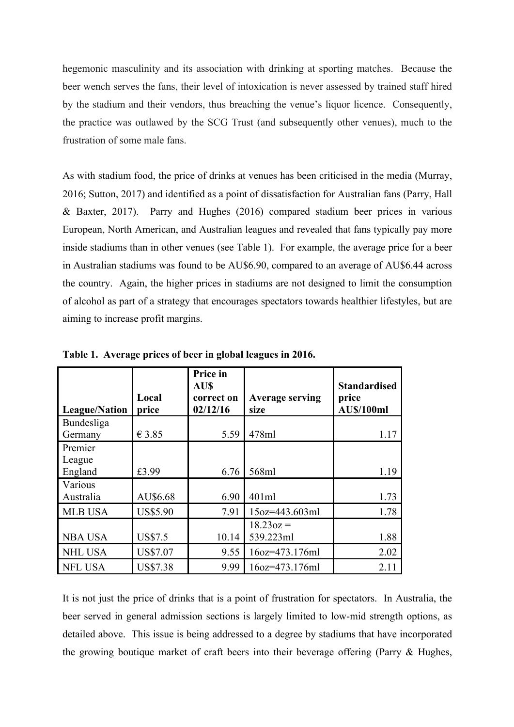hegemonic masculinity and its association with drinking at sporting matches. Because the beer wench serves the fans, their level of intoxication is never assessed by trained staff hired by the stadium and their vendors, thus breaching the venue's liquor licence. Consequently, the practice was outlawed by the SCG Trust (and subsequently other venues), much to the frustration of some male fans.

As with stadium food, the price of drinks at venues has been criticised in the media (Murray, 2016; Sutton, 2017) and identified as a point of dissatisfaction for Australian fans (Parry, Hall & Baxter, 2017). Parry and Hughes (2016) compared stadium beer prices in various European, North American, and Australian leagues and revealed that fans typically pay more inside stadiums than in other venues (see Table 1). For example, the average price for a beer in Australian stadiums was found to be AU\$6.90, compared to an average of AU\$6.44 across the country. Again, the higher prices in stadiums are not designed to limit the consumption of alcohol as part of a strategy that encourages spectators towards healthier lifestyles, but are aiming to increase profit margins.

| <b>League/Nation</b> | Local<br>price  | Price in<br><b>AUS</b><br>correct on<br>02/12/16 | <b>Average serving</b><br>size | <b>Standardised</b><br>price<br><b>AU\$/100ml</b> |
|----------------------|-----------------|--------------------------------------------------|--------------------------------|---------------------------------------------------|
| Bundesliga           |                 |                                                  |                                |                                                   |
| Germany              | €3.85           | 5.59                                             | 478ml                          | 1.17                                              |
| Premier              |                 |                                                  |                                |                                                   |
| League               |                 |                                                  |                                |                                                   |
| England              | £3.99           | 6.76                                             | 568ml                          | 1.19                                              |
| Various              |                 |                                                  |                                |                                                   |
| Australia            | AU\$6.68        | 6.90                                             | 401ml                          | 1.73                                              |
| <b>MLB USA</b>       | <b>US\$5.90</b> | 7.91                                             | 15oz=443.603ml                 | 1.78                                              |
|                      |                 |                                                  | $18.23oz =$                    |                                                   |
| <b>NBA USA</b>       | <b>US\$7.5</b>  | 10.14                                            | 539.223ml                      | 1.88                                              |
| <b>NHL USA</b>       | <b>US\$7.07</b> | 9.55                                             | 16oz=473.176ml                 | 2.02                                              |
| <b>NFL USA</b>       | <b>US\$7.38</b> | 9.99                                             | 16oz=473.176ml                 | 2.11                                              |

**Table 1. Average prices of beer in global leagues in 2016.**

It is not just the price of drinks that is a point of frustration for spectators. In Australia, the beer served in general admission sections is largely limited to low-mid strength options, as detailed above. This issue is being addressed to a degree by stadiums that have incorporated the growing boutique market of craft beers into their beverage offering (Parry & Hughes,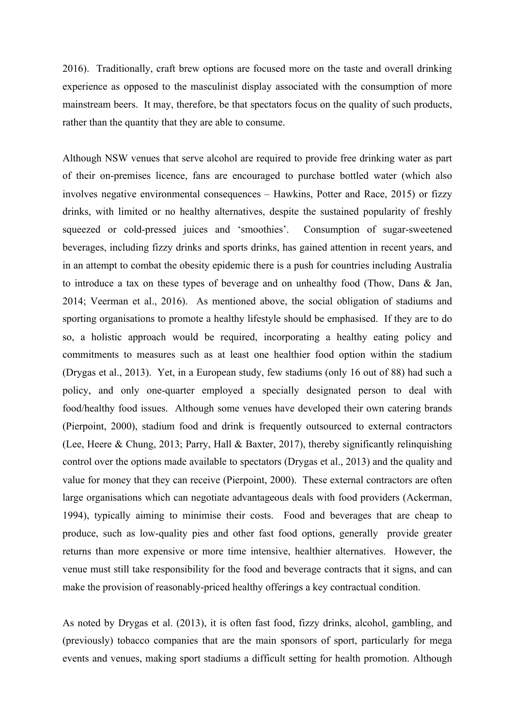2016). Traditionally, craft brew options are focused more on the taste and overall drinking experience as opposed to the masculinist display associated with the consumption of more mainstream beers. It may, therefore, be that spectators focus on the quality of such products, rather than the quantity that they are able to consume.

Although NSW venues that serve alcohol are required to provide free drinking water as part of their on-premises licence, fans are encouraged to purchase bottled water (which also involves negative environmental consequences – Hawkins, Potter and Race, 2015) or fizzy drinks, with limited or no healthy alternatives, despite the sustained popularity of freshly squeezed or cold-pressed juices and 'smoothies'. Consumption of sugar-sweetened beverages, including fizzy drinks and sports drinks, has gained attention in recent years, and in an attempt to combat the obesity epidemic there is a push for countries including Australia to introduce a tax on these types of beverage and on unhealthy food (Thow, Dans & Jan, 2014; Veerman et al., 2016). As mentioned above, the social obligation of stadiums and sporting organisations to promote a healthy lifestyle should be emphasised. If they are to do so, a holistic approach would be required, incorporating a healthy eating policy and commitments to measures such as at least one healthier food option within the stadium (Drygas et al., 2013). Yet, in a European study, few stadiums (only 16 out of 88) had such a policy, and only one-quarter employed a specially designated person to deal with food/healthy food issues. Although some venues have developed their own catering brands (Pierpoint, 2000), stadium food and drink is frequently outsourced to external contractors (Lee, Heere & Chung, 2013; Parry, Hall & Baxter, 2017), thereby significantly relinquishing control over the options made available to spectators (Drygas et al., 2013) and the quality and value for money that they can receive (Pierpoint, 2000). These external contractors are often large organisations which can negotiate advantageous deals with food providers (Ackerman, 1994), typically aiming to minimise their costs. Food and beverages that are cheap to produce, such as low-quality pies and other fast food options, generally provide greater returns than more expensive or more time intensive, healthier alternatives. However, the venue must still take responsibility for the food and beverage contracts that it signs, and can make the provision of reasonably-priced healthy offerings a key contractual condition.

As noted by Drygas et al. (2013), it is often fast food, fizzy drinks, alcohol, gambling, and (previously) tobacco companies that are the main sponsors of sport, particularly for mega events and venues, making sport stadiums a difficult setting for health promotion. Although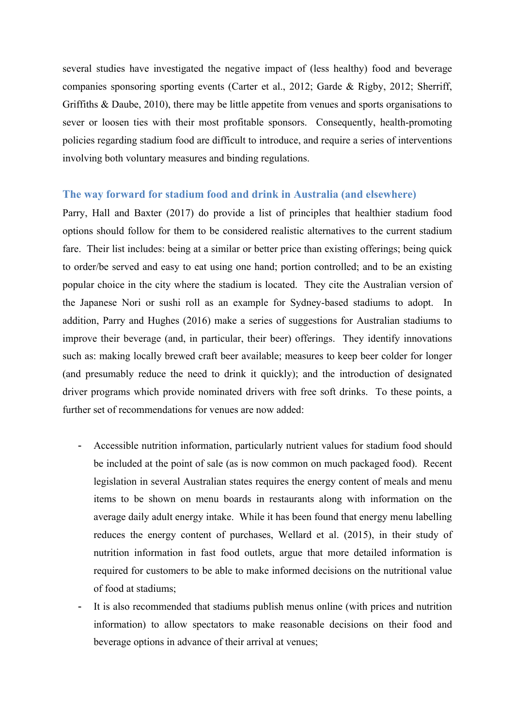several studies have investigated the negative impact of (less healthy) food and beverage companies sponsoring sporting events (Carter et al., 2012; Garde & Rigby, 2012; Sherriff, Griffiths & Daube, 2010), there may be little appetite from venues and sports organisations to sever or loosen ties with their most profitable sponsors. Consequently, health-promoting policies regarding stadium food are difficult to introduce, and require a series of interventions involving both voluntary measures and binding regulations.

### **The way forward for stadium food and drink in Australia (and elsewhere)**

Parry, Hall and Baxter (2017) do provide a list of principles that healthier stadium food options should follow for them to be considered realistic alternatives to the current stadium fare. Their list includes: being at a similar or better price than existing offerings; being quick to order/be served and easy to eat using one hand; portion controlled; and to be an existing popular choice in the city where the stadium is located. They cite the Australian version of the Japanese Nori or sushi roll as an example for Sydney-based stadiums to adopt. In addition, Parry and Hughes (2016) make a series of suggestions for Australian stadiums to improve their beverage (and, in particular, their beer) offerings. They identify innovations such as: making locally brewed craft beer available; measures to keep beer colder for longer (and presumably reduce the need to drink it quickly); and the introduction of designated driver programs which provide nominated drivers with free soft drinks. To these points, a further set of recommendations for venues are now added:

- Accessible nutrition information, particularly nutrient values for stadium food should be included at the point of sale (as is now common on much packaged food). Recent legislation in several Australian states requires the energy content of meals and menu items to be shown on menu boards in restaurants along with information on the average daily adult energy intake. While it has been found that energy menu labelling reduces the energy content of purchases, Wellard et al. (2015), in their study of nutrition information in fast food outlets, argue that more detailed information is required for customers to be able to make informed decisions on the nutritional value of food at stadiums;
- It is also recommended that stadiums publish menus online (with prices and nutrition information) to allow spectators to make reasonable decisions on their food and beverage options in advance of their arrival at venues;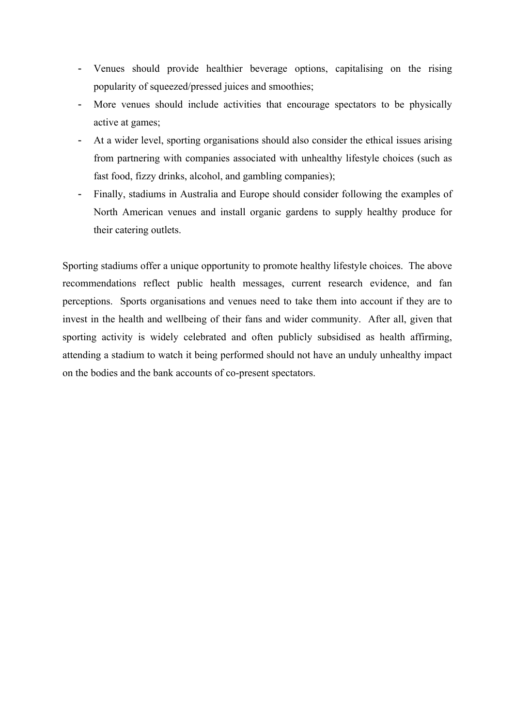- Venues should provide healthier beverage options, capitalising on the rising popularity of squeezed/pressed juices and smoothies;
- More venues should include activities that encourage spectators to be physically active at games;
- At a wider level, sporting organisations should also consider the ethical issues arising from partnering with companies associated with unhealthy lifestyle choices (such as fast food, fizzy drinks, alcohol, and gambling companies);
- Finally, stadiums in Australia and Europe should consider following the examples of North American venues and install organic gardens to supply healthy produce for their catering outlets.

Sporting stadiums offer a unique opportunity to promote healthy lifestyle choices. The above recommendations reflect public health messages, current research evidence, and fan perceptions. Sports organisations and venues need to take them into account if they are to invest in the health and wellbeing of their fans and wider community. After all, given that sporting activity is widely celebrated and often publicly subsidised as health affirming, attending a stadium to watch it being performed should not have an unduly unhealthy impact on the bodies and the bank accounts of co-present spectators.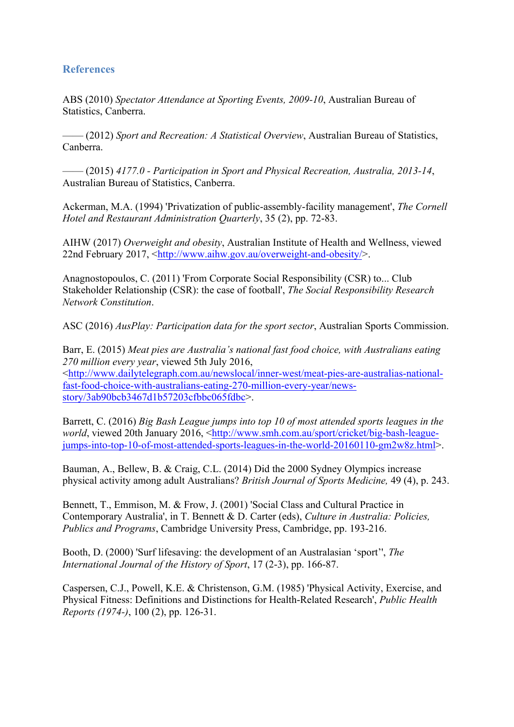### **References**

ABS (2010) *Spectator Attendance at Sporting Events, 2009-10*, Australian Bureau of Statistics, Canberra.

—— (2012) *Sport and Recreation: A Statistical Overview*, Australian Bureau of Statistics, Canberra.

—— (2015) *4177.0 - Participation in Sport and Physical Recreation, Australia, 2013-14*, Australian Bureau of Statistics, Canberra.

Ackerman, M.A. (1994) 'Privatization of public-assembly-facility management', *The Cornell Hotel and Restaurant Administration Quarterly*, 35 (2), pp. 72-83.

AIHW (2017) *Overweight and obesity*, Australian Institute of Health and Wellness, viewed 22nd February 2017, <http://www.aihw.gov.au/overweight-and-obesity/>.

Anagnostopoulos, C. (2011) 'From Corporate Social Responsibility (CSR) to... Club Stakeholder Relationship (CSR): the case of football', *The Social Responsibility Research Network Constitution*.

ASC (2016) *AusPlay: Participation data for the sport sector*, Australian Sports Commission.

Barr, E. (2015) *Meat pies are Australia's national fast food choice, with Australians eating 270 million every year*, viewed 5th July 2016, <http://www.dailytelegraph.com.au/newslocal/inner-west/meat-pies-are-australias-nationalfast-food-choice-with-australians-eating-270-million-every-year/newsstory/3ab90bcb3467d1b57203cfbbc065fdbc>.

Barrett, C. (2016) *Big Bash League jumps into top 10 of most attended sports leagues in the world*, viewed 20th January 2016, <http://www.smh.com.au/sport/cricket/big-bash-leaguejumps-into-top-10-of-most-attended-sports-leagues-in-the-world-20160110-gm2w8z.html>.

Bauman, A., Bellew, B. & Craig, C.L. (2014) Did the 2000 Sydney Olympics increase physical activity among adult Australians? *British Journal of Sports Medicine,* 49 (4), p. 243.

Bennett, T., Emmison, M. & Frow, J. (2001) 'Social Class and Cultural Practice in Contemporary Australia', in T. Bennett & D. Carter (eds), *Culture in Australia: Policies, Publics and Programs*, Cambridge University Press, Cambridge, pp. 193-216.

Booth, D. (2000) 'Surf lifesaving: the development of an Australasian 'sport'', *The International Journal of the History of Sport*, 17 (2-3), pp. 166-87.

Caspersen, C.J., Powell, K.E. & Christenson, G.M. (1985) 'Physical Activity, Exercise, and Physical Fitness: Definitions and Distinctions for Health-Related Research', *Public Health Reports (1974-)*, 100 (2), pp. 126-31.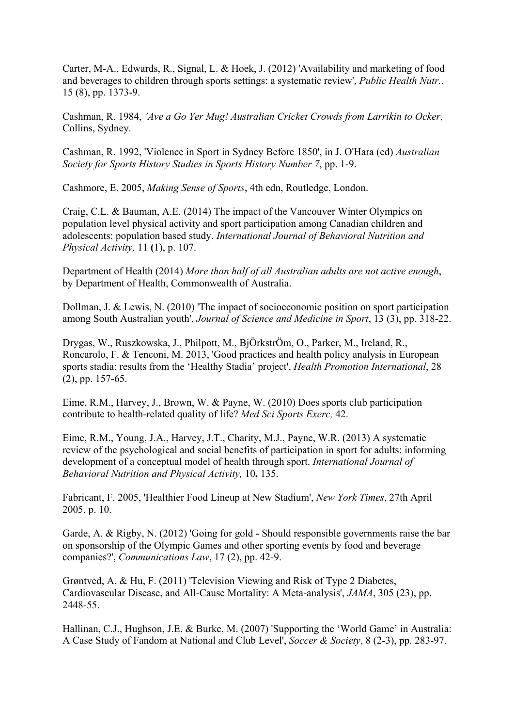Carter, M-A., Edwards, R., Signal, L. & Hoek, J. (2012) 'Availability and marketing of food and beverages to children through sports settings: a systematic review', *Public Health Nutr.*, 15 (8), pp. 1373-9.

Cashman, R. 1984, *'Ave a Go Yer Mug! Australian Cricket Crowds from Larrikin to Ocker*, Collins, Sydney.

Cashman, R. 1992, 'Violence in Sport in Sydney Before 1850', in J. O'Hara (ed) *Australian Society for Sports History Studies in Sports History Number 7*, pp. 1-9.

Cashmore, E. 2005, *Making Sense of Sports*, 4th edn, Routledge, London.

Craig, C.L. & Bauman, A.E. (2014) The impact of the Vancouver Winter Olympics on population level physical activity and sport participation among Canadian children and adolescents: population based study. *International Journal of Behavioral Nutrition and Physical Activity,* 11 **(**1), p. 107.

Department of Health (2014) *More than half of all Australian adults are not active enough*, by Department of Health, Commonwealth of Australia.

Dollman, J. & Lewis, N. (2010) 'The impact of socioeconomic position on sport participation among South Australian youth', *Journal of Science and Medicine in Sport*, 13 (3), pp. 318-22.

Drygas, W., Ruszkowska, J., Philpott, M., BjÖrkstrÖm, O., Parker, M., Ireland, R., Roncarolo, F. & Tenconi, M. 2013, 'Good practices and health policy analysis in European sports stadia: results from the 'Healthy Stadia' project', *Health Promotion International*, 28 (2), pp. 157-65.

Eime, R.M., Harvey, J., Brown, W. & Payne, W. (2010) Does sports club participation contribute to health-related quality of life? *Med Sci Sports Exerc,* 42.

Eime, R.M., Young, J.A., Harvey, J.T., Charity, M.J., Payne, W.R. (2013) A systematic review of the psychological and social benefits of participation in sport for adults: informing development of a conceptual model of health through sport. *International Journal of Behavioral Nutrition and Physical Activity,* 10**,** 135.

Fabricant, F. 2005, 'Healthier Food Lineup at New Stadium', *New York Times*, 27th April 2005, p. 10.

Garde, A. & Rigby, N. (2012) 'Going for gold - Should responsible governments raise the bar on sponsorship of the Olympic Games and other sporting events by food and beverage companies?', *Communications Law*, 17 (2), pp. 42-9.

Grøntved, A. & Hu, F. (2011) 'Television Viewing and Risk of Type 2 Diabetes, Cardiovascular Disease, and All-Cause Mortality: A Meta-analysis', *JAMA*, 305 (23), pp. 2448-55.

Hallinan, C.J., Hughson, J.E. & Burke, M. (2007) 'Supporting the 'World Game' in Australia: A Case Study of Fandom at National and Club Level', *Soccer & Society*, 8 (2-3), pp. 283-97.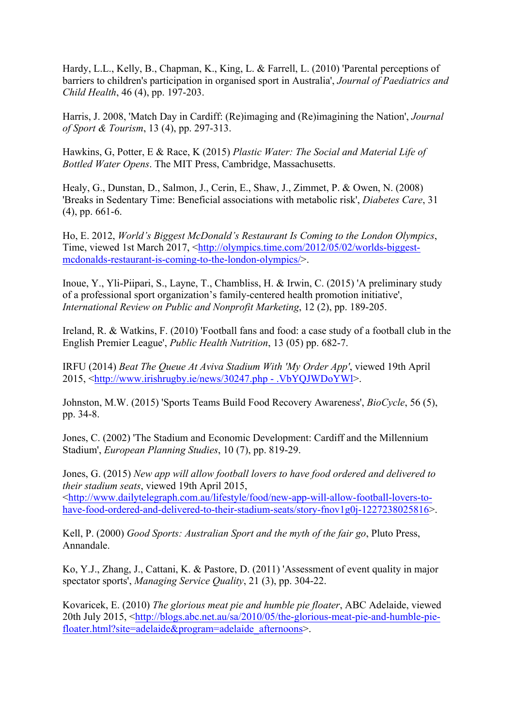Hardy, L.L., Kelly, B., Chapman, K., King, L. & Farrell, L. (2010) 'Parental perceptions of barriers to children's participation in organised sport in Australia', *Journal of Paediatrics and Child Health*, 46 (4), pp. 197-203.

Harris, J. 2008, 'Match Day in Cardiff: (Re)imaging and (Re)imagining the Nation', *Journal of Sport & Tourism*, 13 (4), pp. 297-313.

Hawkins, G, Potter, E & Race, K (2015) *Plastic Water: The Social and Material Life of Bottled Water Opens*. The MIT Press, Cambridge, Massachusetts.

Healy, G., Dunstan, D., Salmon, J., Cerin, E., Shaw, J., Zimmet, P. & Owen, N. (2008) 'Breaks in Sedentary Time: Beneficial associations with metabolic risk', *Diabetes Care*, 31 (4), pp. 661-6.

Ho, E. 2012, *World's Biggest McDonald's Restaurant Is Coming to the London Olympics*, Time, viewed 1st March 2017, <http://olympics.time.com/2012/05/02/worlds-biggestmcdonalds-restaurant-is-coming-to-the-london-olympics/>.

Inoue, Y., Yli-Piipari, S., Layne, T., Chambliss, H. & Irwin, C. (2015) 'A preliminary study of a professional sport organization's family-centered health promotion initiative', *International Review on Public and Nonprofit Marketing*, 12 (2), pp. 189-205.

Ireland, R. & Watkins, F. (2010) 'Football fans and food: a case study of a football club in the English Premier League', *Public Health Nutrition*, 13 (05) pp. 682-7.

IRFU (2014) *Beat The Queue At Aviva Stadium With 'My Order App'*, viewed 19th April 2015, <http://www.irishrugby.ie/news/30247.php - .VbYQJWDoYWl>.

Johnston, M.W. (2015) 'Sports Teams Build Food Recovery Awareness', *BioCycle*, 56 (5), pp. 34-8.

Jones, C. (2002) 'The Stadium and Economic Development: Cardiff and the Millennium Stadium', *European Planning Studies*, 10 (7), pp. 819-29.

Jones, G. (2015) *New app will allow football lovers to have food ordered and delivered to their stadium seats*, viewed 19th April 2015, <http://www.dailytelegraph.com.au/lifestyle/food/new-app-will-allow-football-lovers-tohave-food-ordered-and-delivered-to-their-stadium-seats/story-fnov1g0j-1227238025816>.

Kell, P. (2000) *Good Sports: Australian Sport and the myth of the fair go*, Pluto Press, Annandale.

Ko, Y.J., Zhang, J., Cattani, K. & Pastore, D. (2011) 'Assessment of event quality in major spectator sports', *Managing Service Quality*, 21 (3), pp. 304-22.

Kovaricek, E. (2010) *The glorious meat pie and humble pie floater*, ABC Adelaide, viewed 20th July 2015, <http://blogs.abc.net.au/sa/2010/05/the-glorious-meat-pie-and-humble-piefloater.html?site=adelaide&program=adelaide\_afternoons>.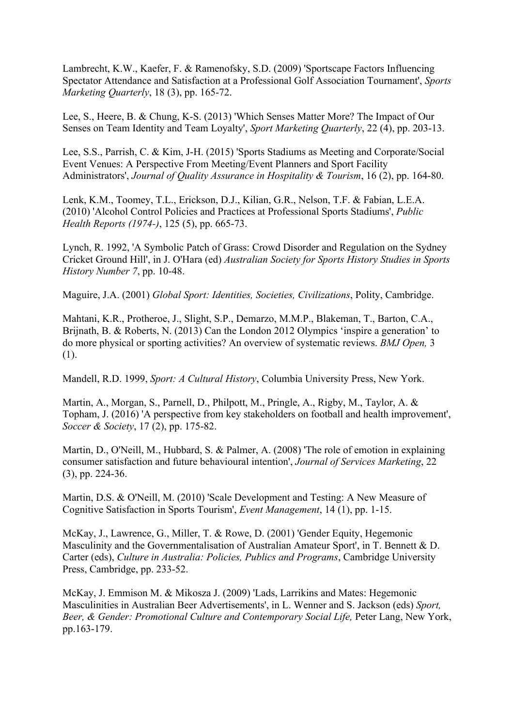Lambrecht, K.W., Kaefer, F. & Ramenofsky, S.D. (2009) 'Sportscape Factors Influencing Spectator Attendance and Satisfaction at a Professional Golf Association Tournament', *Sports Marketing Quarterly*, 18 (3), pp. 165-72.

Lee, S., Heere, B. & Chung, K-S. (2013) 'Which Senses Matter More? The Impact of Our Senses on Team Identity and Team Loyalty', *Sport Marketing Quarterly*, 22 (4), pp. 203-13.

Lee, S.S., Parrish, C. & Kim, J-H. (2015) 'Sports Stadiums as Meeting and Corporate/Social Event Venues: A Perspective From Meeting/Event Planners and Sport Facility Administrators', *Journal of Quality Assurance in Hospitality & Tourism*, 16 (2), pp. 164-80.

Lenk, K.M., Toomey, T.L., Erickson, D.J., Kilian, G.R., Nelson, T.F. & Fabian, L.E.A. (2010) 'Alcohol Control Policies and Practices at Professional Sports Stadiums', *Public Health Reports (1974-)*, 125 (5), pp. 665-73.

Lynch, R. 1992, 'A Symbolic Patch of Grass: Crowd Disorder and Regulation on the Sydney Cricket Ground Hill', in J. O'Hara (ed) *Australian Society for Sports History Studies in Sports History Number 7*, pp. 10-48.

Maguire, J.A. (2001) *Global Sport: Identities, Societies, Civilizations*, Polity, Cambridge.

Mahtani, K.R., Protheroe, J., Slight, S.P., Demarzo, M.M.P., Blakeman, T., Barton, C.A., Brijnath, B. & Roberts, N. (2013) Can the London 2012 Olympics 'inspire a generation' to do more physical or sporting activities? An overview of systematic reviews. *BMJ Open,* 3 (1).

Mandell, R.D. 1999, *Sport: A Cultural History*, Columbia University Press, New York.

Martin, A., Morgan, S., Parnell, D., Philpott, M., Pringle, A., Rigby, M., Taylor, A. & Topham, J. (2016) 'A perspective from key stakeholders on football and health improvement', *Soccer & Society*, 17 (2), pp. 175-82.

Martin, D., O'Neill, M., Hubbard, S. & Palmer, A. (2008) 'The role of emotion in explaining consumer satisfaction and future behavioural intention', *Journal of Services Marketing*, 22 (3), pp. 224-36.

Martin, D.S. & O'Neill, M. (2010) 'Scale Development and Testing: A New Measure of Cognitive Satisfaction in Sports Tourism', *Event Management*, 14 (1), pp. 1-15.

McKay, J., Lawrence, G., Miller, T. & Rowe, D. (2001) 'Gender Equity, Hegemonic Masculinity and the Governmentalisation of Australian Amateur Sport', in T. Bennett & D. Carter (eds), *Culture in Australia: Policies, Publics and Programs*, Cambridge University Press, Cambridge, pp. 233-52.

McKay, J. Emmison M. & Mikosza J. (2009) 'Lads, Larrikins and Mates: Hegemonic Masculinities in Australian Beer Advertisements', in L. Wenner and S. Jackson (eds) *Sport, Beer, & Gender: Promotional Culture and Contemporary Social Life,* Peter Lang, New York, pp.163-179.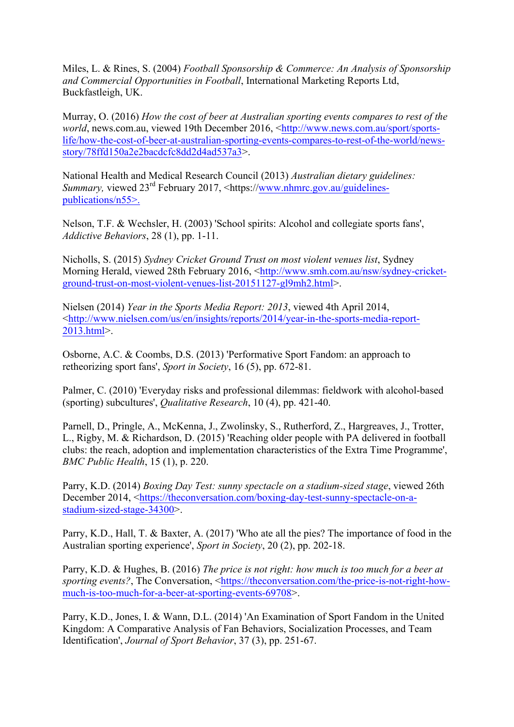Miles, L. & Rines, S. (2004) *Football Sponsorship & Commerce: An Analysis of Sponsorship and Commercial Opportunities in Football*, International Marketing Reports Ltd, Buckfastleigh, UK.

Murray, O. (2016) *How the cost of beer at Australian sporting events compares to rest of the world*, news.com.au, viewed 19th December 2016, <http://www.news.com.au/sport/sportslife/how-the-cost-of-beer-at-australian-sporting-events-compares-to-rest-of-the-world/newsstory/78ffd150a2e2bacdcfc8dd2d4ad537a3>.

National Health and Medical Research Council (2013) *Australian dietary guidelines: Summary, viewed 23<sup>rd</sup> February 2017, <https://www.nhmrc.gov.au/guidelines*publications/n55>.

Nelson, T.F. & Wechsler, H. (2003) 'School spirits: Alcohol and collegiate sports fans', *Addictive Behaviors*, 28 (1), pp. 1-11.

Nicholls, S. (2015) *Sydney Cricket Ground Trust on most violent venues list*, Sydney Morning Herald, viewed 28th February 2016, <http://www.smh.com.au/nsw/sydney-cricketground-trust-on-most-violent-venues-list-20151127-gl9mh2.html>.

Nielsen (2014) *Year in the Sports Media Report: 2013*, viewed 4th April 2014, <http://www.nielsen.com/us/en/insights/reports/2014/year-in-the-sports-media-report-2013.html>.

Osborne, A.C. & Coombs, D.S. (2013) 'Performative Sport Fandom: an approach to retheorizing sport fans', *Sport in Society*, 16 (5), pp. 672-81.

Palmer, C. (2010) 'Everyday risks and professional dilemmas: fieldwork with alcohol-based (sporting) subcultures', *Qualitative Research*, 10 (4), pp. 421-40.

Parnell, D., Pringle, A., McKenna, J., Zwolinsky, S., Rutherford, Z., Hargreaves, J., Trotter, L., Rigby, M. & Richardson, D. (2015) 'Reaching older people with PA delivered in football clubs: the reach, adoption and implementation characteristics of the Extra Time Programme', *BMC Public Health*, 15 (1), p. 220.

Parry, K.D. (2014) *Boxing Day Test: sunny spectacle on a stadium-sized stage*, viewed 26th December 2014, <https://theconversation.com/boxing-day-test-sunny-spectacle-on-astadium-sized-stage-34300>.

Parry, K.D., Hall, T. & Baxter, A. (2017) 'Who ate all the pies? The importance of food in the Australian sporting experience', *Sport in Society*, 20 (2), pp. 202-18.

Parry, K.D. & Hughes, B. (2016) *The price is not right: how much is too much for a beer at sporting events?*, The Conversation, <https://theconversation.com/the-price-is-not-right-howmuch-is-too-much-for-a-beer-at-sporting-events-69708>.

Parry, K.D., Jones, I. & Wann, D.L. (2014) 'An Examination of Sport Fandom in the United Kingdom: A Comparative Analysis of Fan Behaviors, Socialization Processes, and Team Identification', *Journal of Sport Behavior*, 37 (3), pp. 251-67.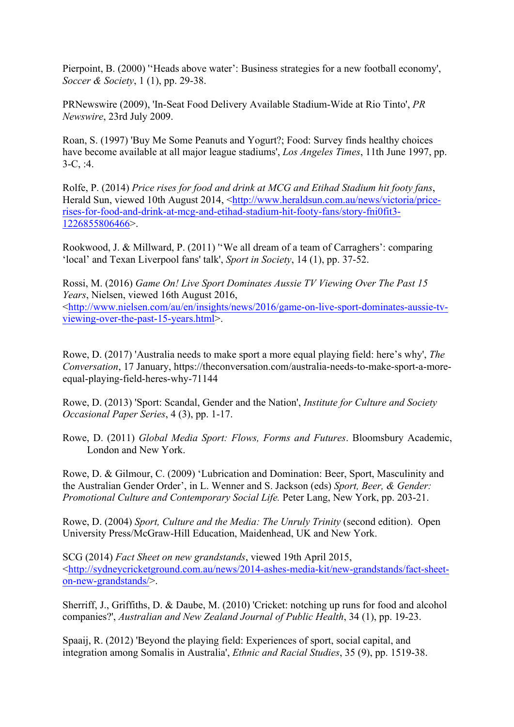Pierpoint, B. (2000) ''Heads above water': Business strategies for a new football economy', *Soccer & Society*, 1 (1), pp. 29-38.

PRNewswire (2009), 'In-Seat Food Delivery Available Stadium-Wide at Rio Tinto', *PR Newswire*, 23rd July 2009.

Roan, S. (1997) 'Buy Me Some Peanuts and Yogurt?; Food: Survey finds healthy choices have become available at all major league stadiums', *Los Angeles Times*, 11th June 1997, pp. 3-C, :4.

Rolfe, P. (2014) *Price rises for food and drink at MCG and Etihad Stadium hit footy fans*, Herald Sun, viewed 10th August 2014, <http://www.heraldsun.com.au/news/victoria/pricerises-for-food-and-drink-at-mcg-and-etihad-stadium-hit-footy-fans/story-fni0fit3- 1226855806466>.

Rookwood, J. & Millward, P. (2011) "We all dream of a team of Carraghers': comparing 'local' and Texan Liverpool fans' talk', *Sport in Society*, 14 (1), pp. 37-52.

Rossi, M. (2016) *Game On! Live Sport Dominates Aussie TV Viewing Over The Past 15 Years*, Nielsen, viewed 16th August 2016,

<http://www.nielsen.com/au/en/insights/news/2016/game-on-live-sport-dominates-aussie-tvviewing-over-the-past-15-years.html>.

Rowe, D. (2017) 'Australia needs to make sport a more equal playing field: here's why', *The Conversation*, 17 January, https://theconversation.com/australia-needs-to-make-sport-a-moreequal-playing-field-heres-why-71144

Rowe, D. (2013) 'Sport: Scandal, Gender and the Nation', *Institute for Culture and Society Occasional Paper Series*, 4 (3), pp. 1-17.

Rowe, D. (2011) *Global Media Sport: Flows, Forms and Futures*. Bloomsbury Academic, London and New York.

Rowe, D. & Gilmour, C. (2009) 'Lubrication and Domination: Beer, Sport, Masculinity and the Australian Gender Order', in L. Wenner and S. Jackson (eds) *Sport, Beer, & Gender: Promotional Culture and Contemporary Social Life.* Peter Lang, New York, pp. 203-21.

Rowe, D. (2004) *Sport, Culture and the Media: The Unruly Trinity* (second edition). Open University Press/McGraw-Hill Education, Maidenhead, UK and New York.

SCG (2014) *Fact Sheet on new grandstands*, viewed 19th April 2015, <http://sydneycricketground.com.au/news/2014-ashes-media-kit/new-grandstands/fact-sheeton-new-grandstands/>.

Sherriff, J., Griffiths, D. & Daube, M. (2010) 'Cricket: notching up runs for food and alcohol companies?', *Australian and New Zealand Journal of Public Health*, 34 (1), pp. 19-23.

Spaaij, R. (2012) 'Beyond the playing field: Experiences of sport, social capital, and integration among Somalis in Australia', *Ethnic and Racial Studies*, 35 (9), pp. 1519-38.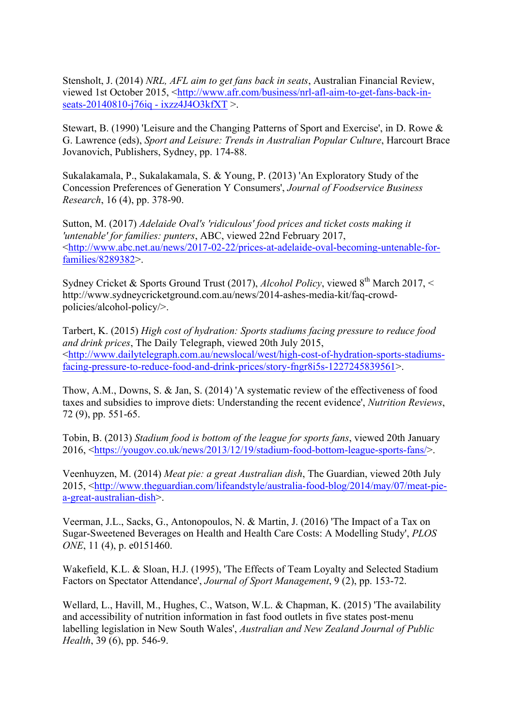Stensholt, J. (2014) *NRL, AFL aim to get fans back in seats*, Australian Financial Review, viewed 1st October 2015, <http://www.afr.com/business/nrl-afl-aim-to-get-fans-back-inseats-20140810-j76iq - ixzz4J4O3kfXT >.

Stewart, B. (1990) 'Leisure and the Changing Patterns of Sport and Exercise', in D. Rowe & G. Lawrence (eds), *Sport and Leisure: Trends in Australian Popular Culture*, Harcourt Brace Jovanovich, Publishers, Sydney, pp. 174-88.

Sukalakamala, P., Sukalakamala, S. & Young, P. (2013) 'An Exploratory Study of the Concession Preferences of Generation Y Consumers', *Journal of Foodservice Business Research*, 16 (4), pp. 378-90.

Sutton, M. (2017) *Adelaide Oval's 'ridiculous' food prices and ticket costs making it 'untenable' for families: punters*, ABC, viewed 22nd February 2017, <http://www.abc.net.au/news/2017-02-22/prices-at-adelaide-oval-becoming-untenable-forfamilies/8289382>.

Sydney Cricket & Sports Ground Trust (2017), *Alcohol Policy*, viewed  $8<sup>th</sup>$  March 2017, < http://www.sydneycricketground.com.au/news/2014-ashes-media-kit/faq-crowdpolicies/alcohol-policy/>.

Tarbert, K. (2015) *High cost of hydration: Sports stadiums facing pressure to reduce food and drink prices*, The Daily Telegraph, viewed 20th July 2015, <http://www.dailytelegraph.com.au/newslocal/west/high-cost-of-hydration-sports-stadiumsfacing-pressure-to-reduce-food-and-drink-prices/story-fngr8i5s-1227245839561>.

Thow, A.M., Downs, S. & Jan, S. (2014) 'A systematic review of the effectiveness of food taxes and subsidies to improve diets: Understanding the recent evidence', *Nutrition Reviews*, 72 (9), pp. 551-65.

Tobin, B. (2013) *Stadium food is bottom of the league for sports fans*, viewed 20th January 2016, <https://yougov.co.uk/news/2013/12/19/stadium-food-bottom-league-sports-fans/>.

Veenhuyzen, M. (2014) *Meat pie: a great Australian dish*, The Guardian, viewed 20th July 2015, <http://www.theguardian.com/lifeandstyle/australia-food-blog/2014/may/07/meat-piea-great-australian-dish>.

Veerman, J.L., Sacks, G., Antonopoulos, N. & Martin, J. (2016) 'The Impact of a Tax on Sugar-Sweetened Beverages on Health and Health Care Costs: A Modelling Study', *PLOS ONE*, 11 (4), p. e0151460.

Wakefield, K.L. & Sloan, H.J. (1995), 'The Effects of Team Loyalty and Selected Stadium Factors on Spectator Attendance', *Journal of Sport Management*, 9 (2), pp. 153-72.

Wellard, L., Havill, M., Hughes, C., Watson, W.L. & Chapman, K. (2015) 'The availability and accessibility of nutrition information in fast food outlets in five states post-menu labelling legislation in New South Wales', *Australian and New Zealand Journal of Public Health*, 39 (6), pp. 546-9.